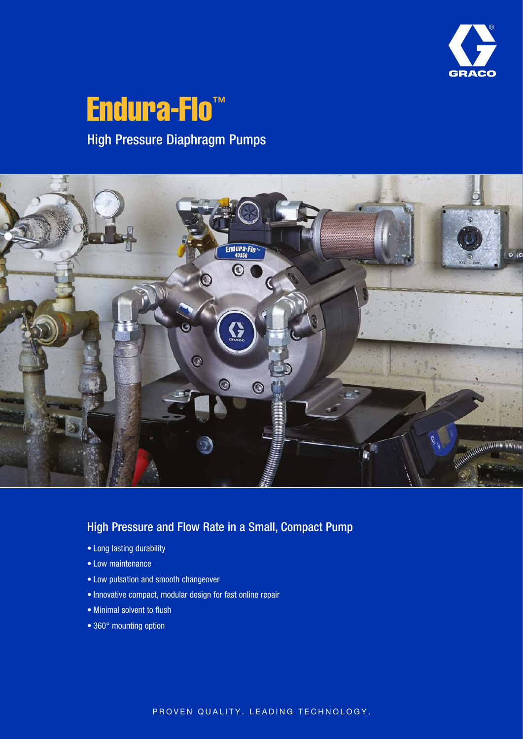

# Endura-Flo<sup>™</sup> High Pressure Diaphragm Pumps



### High Pressure and Flow Rate in a Small, Compact Pump

- Long lasting durability
- Low maintenance
- Low pulsation and smooth changeover
- Innovative compact, modular design for fast online repair
- Minimal solvent to flush
- 360° mounting option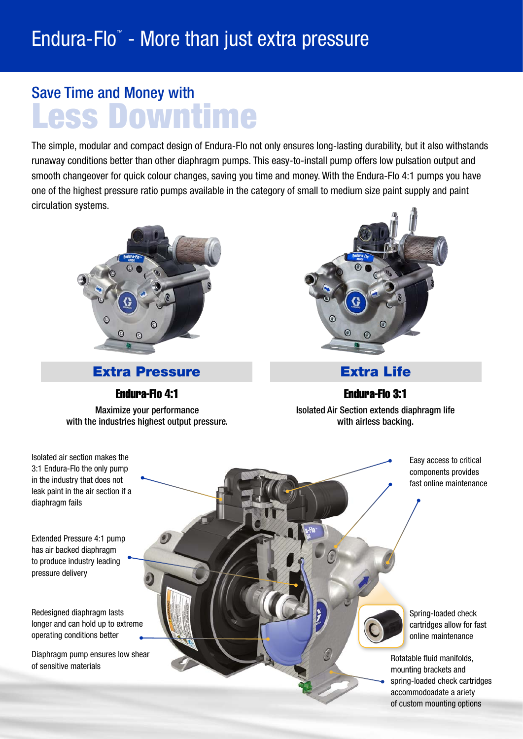# Save Time and Money with Less Downtime

The simple, modular and compact design of Endura-Flo not only ensures long-lasting durability, but it also withstands runaway conditions better than other diaphragm pumps. This easy-to-install pump offers low pulsation output and smooth changeover for quick colour changes, saving you time and money. With the Endura-Flo 4:1 pumps you have one of the highest pressure ratio pumps available in the category of small to medium size paint supply and paint circulation systems.



**Extra Pressure Extra Life** 

Endura-Flo 4:1 Endura-Flo 3:1

Maximize your performance with the industries highest output pressure.



Isolated Air Section extends diaphragm life with airless backing.

> Easy access to critical components provides fast online maintenance

> > Spring-loaded check cartridges allow for fast online maintenance

Rotatable fluid manifolds, mounting brackets and spring-loaded check cartridges accommodoadate a ariety of custom mounting options

Isolated air section makes the 3:1 Endura-Flo the only pump in the industry that does not leak paint in the air section if a diaphragm fails

Extended Pressure 4:1 pump has air backed diaphragm to produce industry leading pressure delivery

Redesigned diaphragm lasts longer and can hold up to extreme operating conditions better

Diaphragm pump ensures low shear of sensitive materials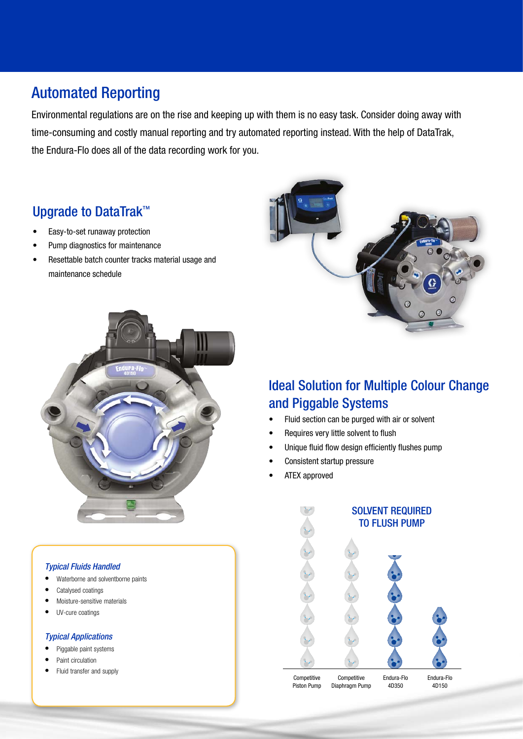# Automated Reporting

Environmental regulations are on the rise and keeping up with them is no easy task. Consider doing away with time-consuming and costly manual reporting and try automated reporting instead. With the help of DataTrak, the Endura-Flo does all of the data recording work for you.

## Upgrade to DataTrak™

- Easy-to-set runaway protection
- Pump diagnostics for maintenance
- Resettable batch counter tracks material usage and maintenance schedule



#### *Typical Fluids Handled*

- Waterborne and solventborne paints
- Catalysed coatings
- Moisture-sensitive materials
- UV-cure coatings

#### *Typical Applications*

- Piggable paint systems
- Paint circulation
- Fluid transfer and supply



### Ideal Solution for Multiple Colour Change and Piggable Systems

- Fluid section can be purged with air or solvent
- Requires very little solvent to flush
- Unique fluid flow design efficiently flushes pump
- Consistent startup pressure
- ATEX approved